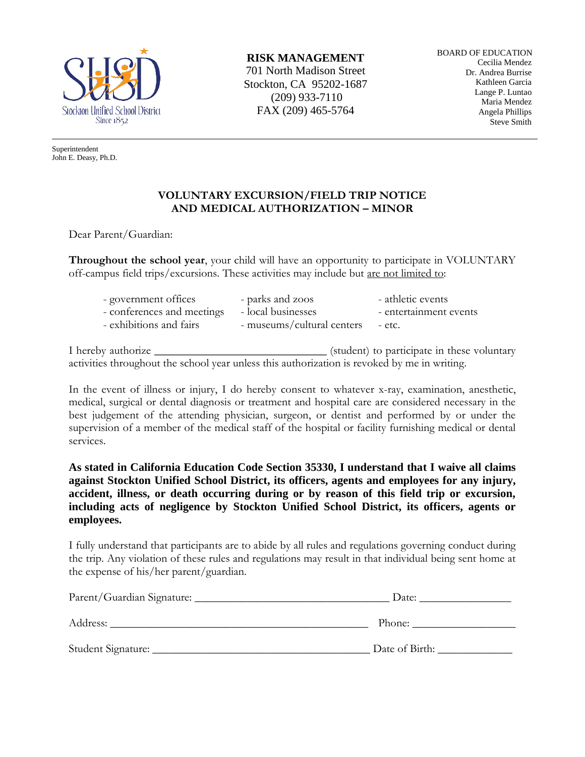

Superintendent John E. Deasy, Ph.D. **RISK MANAGEMENT**

701 North Madison Street Stockton, CA 95202-1687 (209) 933-7110 FAX (209) 465-5764

BOARD OF EDUCATION Cecilia Mendez Dr. Andrea Burrise Kathleen Garcia Lange P. Luntao Maria Mendez Angela Phillips Steve Smith

## **VOLUNTARY EXCURSION/FIELD TRIP NOTICE AND MEDICAL AUTHORIZATION – MINOR**

Dear Parent/Guardian:

**Throughout the school year**, your child will have an opportunity to participate in VOLUNTARY off-campus field trips/excursions. These activities may include but are not limited to:

| - government offices       | - parks and zoos                  | - athletic events      |
|----------------------------|-----------------------------------|------------------------|
| - conferences and meetings | - local businesses                | - entertainment events |
| - exhibitions and fairs    | - museums/cultural centers - etc. |                        |

I hereby authorize \_\_\_\_\_\_\_\_\_\_\_\_\_\_\_\_\_\_\_\_\_\_\_\_\_\_\_\_\_\_ (student) to participate in these voluntary activities throughout the school year unless this authorization is revoked by me in writing.

In the event of illness or injury, I do hereby consent to whatever x-ray, examination, anesthetic, medical, surgical or dental diagnosis or treatment and hospital care are considered necessary in the best judgement of the attending physician, surgeon, or dentist and performed by or under the supervision of a member of the medical staff of the hospital or facility furnishing medical or dental services.

**As stated in California Education Code Section 35330, I understand that I waive all claims against Stockton Unified School District, its officers, agents and employees for any injury, accident, illness, or death occurring during or by reason of this field trip or excursion, including acts of negligence by Stockton Unified School District, its officers, agents or employees.** 

I fully understand that participants are to abide by all rules and regulations governing conduct during the trip. Any violation of these rules and regulations may result in that individual being sent home at the expense of his/her parent/guardian.

| Parent/Guardian Signature: | Date:          |  |
|----------------------------|----------------|--|
| Address:                   | Phone:         |  |
| Student Signature:         | Date of Birth: |  |